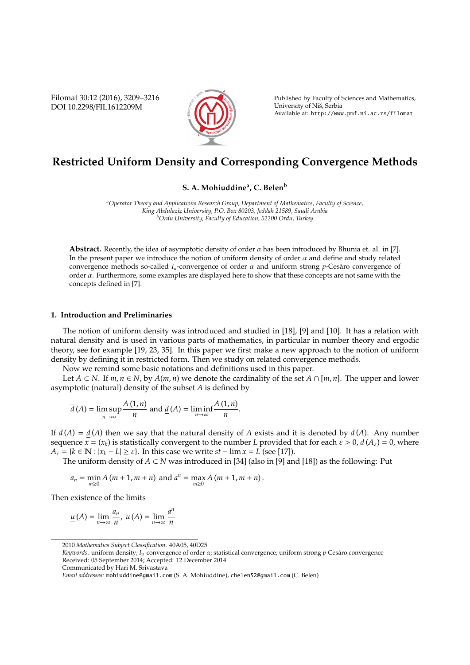Filomat 30:12 (2016), 3209–3216 DOI 10.2298/FIL1612209M



Published by Faculty of Sciences and Mathematics, University of Niš, Serbia Available at: http://www.pmf.ni.ac.rs/filomat

# **Restricted Uniform Density and Corresponding Convergence Methods**

## **S. A. Mohiuddine<sup>a</sup> , C. Belen<sup>b</sup>**

*<sup>a</sup>Operator Theory and Applications Research Group, Department of Mathematics, Faculty of Science, King Abdulaziz University, P.O. Box 80203, Jeddah 21589, Saudi Arabia <sup>b</sup>Ordu University, Faculty of Education, 52200 Ordu, Turkey*

**Abstract.** Recently, the idea of asymptotic density of order  $\alpha$  has been introduced by Bhunia et. al. in [7]. In the present paper we introduce the notion of uniform density of order  $\alpha$  and define and study related convergence methods so-called  $I_u$ -convergence of order  $\alpha$  and uniform strong  $p$ -Cesaro convergence of order  $\alpha$ . Furthermore, some examples are displayed here to show that these concepts are not same with the concepts defined in [7].

## **1. Introduction and Preliminaries**

The notion of uniform density was introduced and studied in [18], [9] and [10]. It has a relation with natural density and is used in various parts of mathematics, in particular in number theory and ergodic theory, see for example [19, 23, 35]. In this paper we first make a new approach to the notion of uniform density by defining it in restricted form. Then we study on related convergence methods.

Now we remind some basic notations and definitions used in this paper.

Let *A* ⊂ *N*. If *m*, *n* ∈ *N*, by *A*(*m*, *n*) we denote the cardinality of the set *A* ∩ [*m*, *n*]. The upper and lower asymptotic (natural) density of the subset *A* is defined by

$$
\overline{d}(A) = \limsup_{n \to \infty} \frac{A(1, n)}{n}
$$
 and 
$$
\underline{d}(A) = \liminf_{n \to \infty} \frac{A(1, n)}{n}.
$$

If  $\overline{d}(A) = d(A)$  then we say that the natural density of *A* exists and it is denoted by  $d(A)$ . Any number sequence  $x = (x_k)$  is statistically convergent to the number *L* provided that for each  $\varepsilon > 0$ ,  $d(A_{\varepsilon}) = 0$ , where  $A_{\varepsilon} = \{k \in \mathbb{N} : |x_k - L| \geq \varepsilon\}$ . In this case we write  $st - \lim x = L$  (see [17]).

The uniform density of *A* ⊂ *N* was introduced in [34] (also in [9] and [18]) as the following: Put

$$
a_n = \min_{m>0} A(m+1, m+n)
$$
 and  $a^n = \max_{m>0} A(m+1, m+n)$ .

Then existence of the limits

$$
\underline{u}\left(A\right)=\lim_{n\rightarrow\infty}\frac{a_{n}}{n},\;\overline{u}\left(A\right)=\lim_{n\rightarrow\infty}\frac{a^{n}}{n}
$$

<sup>2010</sup> *Mathematics Subject Classification*. 40A05, 40D25

*Keywords*. uniform density; *Iu*-convergence of order α; statistical convergence; uniform strong *p*-Cesaro convergence ` Received: 05 September 2014; Accepted: 12 December 2014

Communicated by Hari M. Srivastava

*Email addresses:* mohiuddine@gmail.com (S. A. Mohiuddine), cbelen52@gmail.com (C. Belen)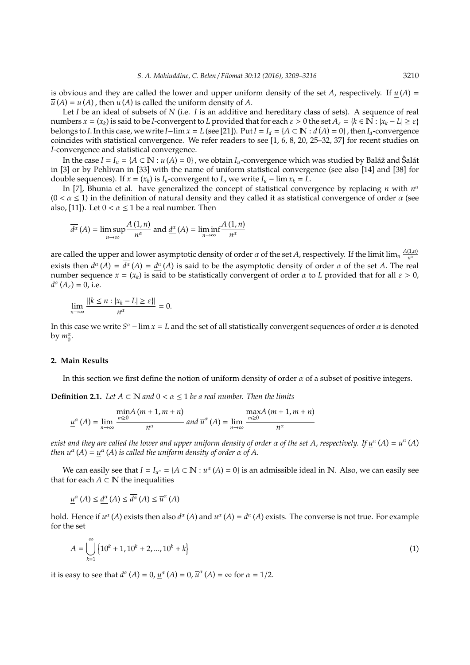is obvious and they are called the lower and upper uniform density of the set *A*, respectively. If  $u(A)$  =  $\overline{u}(A) = u(A)$ , then  $u(A)$  is called the uniform density of *A*.

Let *I* be an ideal of subsets of *N* (i.e. *I* is an additive and hereditary class of sets). A sequence of real  $x = (x_k)$  is said to be *I*-convergent to *L* provided that for each  $\varepsilon > 0$  the set  $A_\varepsilon = \{k \in \mathbb{N} : |x_k - L| \ge \varepsilon\}$ belongs to *I*. In this case, we write *I*−lim  $x = L$  (see [21]). Put  $I = I_d = \{A \subset \mathbb{N} : d(A) = 0\}$ , then  $I_d$ -convergence coincides with statistical convergence. We refer readers to see [1, 6, 8, 20, 25–32, 37] for recent studies on *I*-convergence and statistical convergence.

In the case  $I = I_u = \{A \subset \mathbb{N} : u(A) = 0\}$ , we obtain  $I_u$ -convergence which was studied by Baláž and Šalát in [3] or by Pehlivan in [33] with the name of uniform statistical convergence (see also [14] and [38] for double sequences). If  $x = (x_k)$  is  $I_u$ -convergent to *L*, we write  $I_u$  –  $\lim x_k = L$ .

In [7], Bhunia et al. have generalized the concept of statistical convergence by replacing *n* with  $n^a$  $(0 < \alpha \leq 1)$  in the definition of natural density and they called it as statistical convergence of order  $\alpha$  (see also, [11]). Let  $0 < \alpha \le 1$  be a real number. Then

$$
\overline{d^{\alpha}}(A) = \limsup_{n \to \infty} \frac{A(1, n)}{n^{\alpha}} \text{ and } \underline{d^{\alpha}}(A) = \liminf_{n \to \infty} \frac{A(1, n)}{n^{\alpha}}
$$

are called the upper and lower asymptotic density of order  $\alpha$  of the set  $A$ , respectively. If the limit lim<sub>n</sub>  $\frac{A(1,n)}{n^a}$ *n* α exists then  $d^{\alpha}(A) = d^{\alpha}(A) = \underline{d^{\alpha}}(A)$  is said to be the asymptotic density of order  $\alpha$  of the set  $A$ . The real number sequence  $x = (x_k)$  is said to be statistically convergent of order  $\alpha$  to *L* provided that for all  $\varepsilon > 0$ ,  $d^{\alpha}(A_{\varepsilon}) = 0$ , i.e.

$$
\lim_{n\to\infty}\frac{|\{k\leq n : |x_k - L| \geq \varepsilon\}|}{n^{\alpha}} = 0.
$$

In this case we write  $S^{\alpha}$  – lim  $x = L$  and the set of all statistically convergent sequences of order  $\alpha$  is denoted by  $m_0^{\alpha}$ .

#### **2. Main Results**

In this section we first define the notion of uniform density of order  $\alpha$  of a subset of positive integers.

**Definition 2.1.** *Let*  $A \subset \mathbb{N}$  *and*  $0 < \alpha \leq 1$  *be a real number. Then the limits* 

$$
\underline{u}^{\alpha}(A) = \lim_{n \to \infty} \frac{\min A(m+1, m+n)}{n^{\alpha}} \text{ and } \overline{u}^{\alpha}(A) = \lim_{n \to \infty} \frac{\max A(m+1, m+n)}{n^{\alpha}}
$$

 $e$ xist and they are called the lower and upper uniform density of order  $\alpha$  of the set A, respectively. If  $\underline{u}^\alpha$  (A) =  $\overline{u}^\alpha$  (A) *then*  $u^{\alpha}(A) = \underline{u}^{\alpha}(A)$  *is called the uniform density of order*  $\alpha$  *of*  $A$ *.* 

We can easily see that  $I = I_{u^{\alpha}} = \{A \subset \mathbb{N} : u^{\alpha}(A) = 0\}$  is an admissible ideal in N. Also, we can easily see that for each  $A \subset \mathbb{N}$  the inequalities

$$
\underline{u}^{\alpha}\left(A\right) \leq \underline{d}^{\alpha}\left(A\right) \leq \overline{d^{\alpha}}\left(A\right) \leq \overline{u}^{\alpha}\left(A\right)
$$

hold. Hence if  $u^{\alpha}(A)$  exists then also  $d^{\alpha}(A)$  and  $u^{\alpha}(A) = d^{\alpha}(A)$  exists. The converse is not true. For example for the set

$$
A = \bigcup_{k=1}^{\infty} \left\{ 10^k + 1, 10^k + 2, ..., 10^k + k \right\}
$$
 (1)

it is easy to see that  $d^{\alpha}(A) = 0$ ,  $\underline{u}^{\alpha}(A) = 0$ ,  $\overline{u}^{\alpha}(A) = \infty$  for  $\alpha = 1/2$ .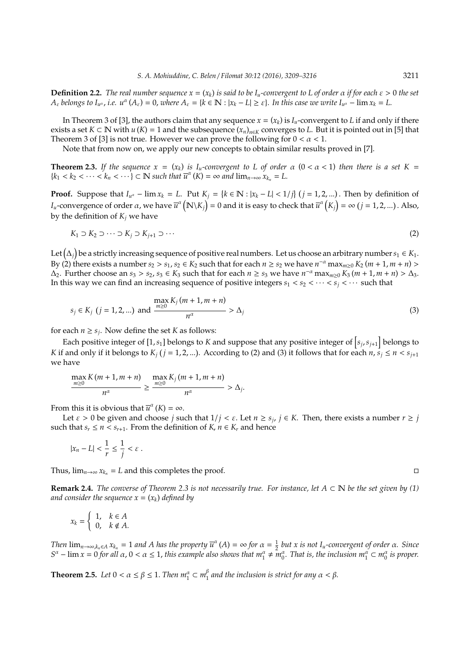**Definition 2.2.** *The real number sequence*  $x = (x_k)$  *is said to be*  $I_u$ *-convergent to L of order*  $\alpha$  *if for each*  $\varepsilon > 0$  *the set*  $A_{\varepsilon}$  *belongs to*  $I_{u^{\alpha}}$ , *i.e.*  $u^{\alpha}(A_{\varepsilon}) = 0$ , *where*  $A_{\varepsilon} = \{k \in \mathbb{N} : |x_k - L| \geq \varepsilon\}$ . In this case we write  $I_{u^{\alpha}} - \lim x_k = L$ .

In Theorem 3 of [3], the authors claim that any sequence  $x = (x_k)$  is  $I_u$ -convergent to  $L$  if and only if there exists a set  $K \subset \mathbb{N}$  with  $u(K) = 1$  and the subsequence  $(x_n)_{n \in K}$  converges to *L*. But it is pointed out in [5] that Theorem 3 of [3] is not true. However we can prove the following for  $0 < \alpha < 1$ .

Note that from now on, we apply our new concepts to obtain similar results proved in [7].

**Theorem 2.3.** If the sequence  $x = (x_k)$  is  $I_u$ -convergent to L of order  $\alpha$  ( $0 < \alpha < 1$ ) then there is a set K =  ${k_1 < k_2 < \cdots < k_n < \cdots} \subset \mathbb{N}$  such that  $\overline{u}^{\alpha}(K) = \infty$  and  $\lim_{n \to \infty} x_{k_n} = L$ .

**Proof.** Suppose that  $I_{\mu^{\alpha}} - \lim x_k = L$ . Put  $K_j = \{k \in \mathbb{N} : |x_k - L| < 1/j\}$   $(j = 1, 2, \ldots)$ . Then by definition of *I*<sub>u</sub>-convergence of order  $\alpha$ , we have  $\overline{u}^{\alpha}$   $(N\backslash K_j)$  = 0 and it is easy to check that  $\overline{u}^{\alpha}\left(K_j\right)$  =  $\infty$   $(j = 1, 2, ...)$  . Also, by the definition of  $K_i$  we have

$$
K_1 \supset K_2 \supset \cdots \supset K_j \supset K_{j+1} \supset \cdots \tag{2}
$$

Let  $(\Delta_j)$  be a strictly increasing sequence of positive real numbers. Let us choose an arbitrary number  $s_1\in K_1.$ By (2) there exists a number  $s_2 > s_1$ ,  $s_2 \in K_2$  such that for each  $n \ge s_2$  we have  $n^{-\alpha} \max_{m \ge 0} K_2(m+1, m+n)$  $\Delta_2$ . Further choose an  $s_3 > s_2$ ,  $s_3 \in K_3$  such that for each  $n \ge s_3$  we have  $n^{-\alpha} \max_{m \ge 0} K_3(m+1, m+n) > \Delta_3$ . In this way we can find an increasing sequence of positive integers  $s_1 < s_2 < \cdots < s_i < \cdots$  such that

$$
s_j \in K_j \ (j = 1, 2, ...)
$$
 and  $\frac{\max_{m \ge 0} K_j (m + 1, m + n)}{n^{\alpha}} > \Delta_j$  (3)

for each  $n \geq s_j$ . Now define the set *K* as follows:

Each positive integer of [1,  $s_1$ ] belongs to *K* and suppose that any positive integer of  $[s_j, s_{j+1}]$  belongs to *K* if and only if it belongs to  $K_j$  ( $j = 1, 2, ...$ ). According to (2) and (3) it follows that for each  $n, s_j \le n < s_{j+1}$ we have

$$
\frac{\max\limits_{m\geq 0}K(m+1,m+n)}{n^{\alpha}}\geq \frac{\max\limits_{m\geq 0}K_j(m+1,m+n)}{n^{\alpha}}>\Delta_j.
$$

From this it is obvious that  $\overline{u}^{\alpha}(K) = \infty$ .

Let  $\varepsilon > 0$  be given and choose *j* such that  $1/j < \varepsilon$ . Let  $n \ge s_j$ ,  $j \in K$ . Then, there exists a number  $r \ge j$ such that  $s_r \leq n < s_{r+1}$ . From the definition of  $K, n \in K_r$  and hence

$$
|x_n - L| < \frac{1}{r} \le \frac{1}{j} < \varepsilon \, .
$$

Thus,  $\lim_{n\to\infty} x_{k_n} = L$  and this completes the proof.  $□$ 

**Remark 2.4.** *The converse of Theorem 2.3 is not necessarily true. For instance, let A* ⊂ N *be the set given by (1) and consider the sequence x* = (*x<sup>k</sup>* ) *defined by*

$$
x_k = \begin{cases} 1, & k \in A \\ 0, & k \notin A. \end{cases}
$$

Then  $\lim_{n\to\infty,k_n\in A} x_{k_n} = 1$  and A has the property  $\overline{u}^{\alpha}(A) = \infty$  for  $\alpha = \frac{1}{2}$  but x is not  $I_u$ -convergent of order  $\alpha$ . Since  $S^{\alpha}$  –  $\lim x = 0$  *for all*  $\alpha$ ,  $0 < \alpha \le 1$ , *this example also shows that*  $m_1^{\alpha} \ne m_0^{\alpha}$ . *That is, the inclusion*  $m_1^{\alpha} \subset m_0^{\alpha}$  *is proper.* 

**Theorem 2.5.** *Let*  $0 < \alpha \le \beta \le 1$ . *Then*  $m_1^{\alpha} \subset m_1^{\beta}$ 1 *and the inclusion is strict for any* α < β*.*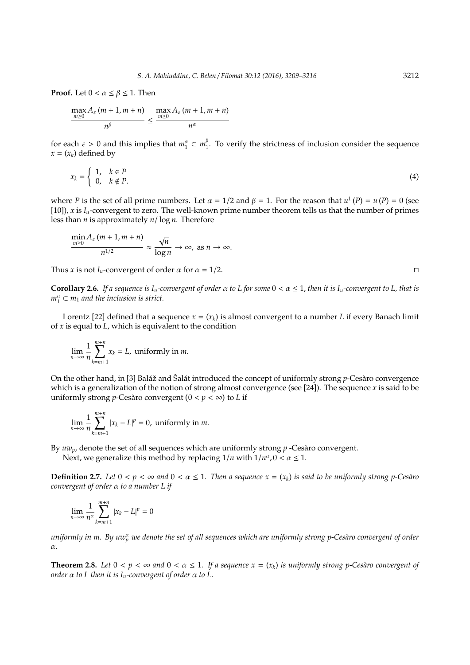**Proof.** Let  $0 < \alpha \leq \beta \leq 1$ . Then

$$
\frac{\max A_{\varepsilon}(m+1, m+n)}{n^{\beta}} \le \frac{\max A_{\varepsilon}(m+1, m+n)}{n^{\alpha}}
$$

for each  $\varepsilon > 0$  and this implies that  $m_1^{\alpha} \subset m_1^{\beta}$  $\frac{p}{1}$ . To verify the strictness of inclusion consider the sequence  $x = (x_k)$  defined by

$$
x_k = \begin{cases} 1, & k \in P \\ 0, & k \notin P. \end{cases}
$$
 (4)

where *P* is the set of all prime numbers. Let  $\alpha = 1/2$  and  $\beta = 1$ . For the reason that  $u^1(P) = u(P) = 0$  (see [10]), *x* is *Iu*-convergent to zero. The well-known prime number theorem tells us that the number of primes less than *n* is approximately *n*/ log *n*. Therefore

$$
\frac{\min\limits_{m\geq 0}A_{\varepsilon}\left(m+1,m+n\right)}{n^{1/2}}\approx \frac{\sqrt{n}}{\log n}\to \infty, \text{ as } n\to \infty.
$$

Thus *x* is not  $I_u$ -convergent of order  $\alpha$  for  $\alpha = 1/2$ .

**Corollary 2.6.** *If a sequence is*  $I_u$ *-convergent of order*  $\alpha$  *to L for some*  $0 < \alpha \le 1$ *, then it is*  $I_u$ *-convergent to L, that is*  $m_1^{\alpha} \subset m_1$  *and the inclusion is strict.* 

Lorentz [22] defined that a sequence *x* = (*x<sup>k</sup>* ) is almost convergent to a number *L* if every Banach limit of *x* is equal to *L*, which is equivalent to the condition

$$
\lim_{n \to \infty} \frac{1}{n} \sum_{k=m+1}^{m+n} x_k = L, \text{ uniformly in } m.
$$

On the other hand, in [3] Baláž and Šalát introduced the concept of uniformly strong *p*-Cesaro convergence which is a generalization of the notion of strong almost convergence (see [24]). The sequence *x* is said to be uniformly strong *p*-Cesàro convergent  $(0 < p < \infty)$  to *L* if

$$
\lim_{n\to\infty}\frac{1}{n}\sum_{k=m+1}^{m+n}|x_k-L|^p=0,\text{ uniformly in }m.
$$

By  $uw_p$ , denote the set of all sequences which are uniformly strong p -Cesaro convergent.

Next, we generalize this method by replacing  $1/n$  with  $1/n^{\alpha}$ ,  $0 < \alpha \le 1$ .

**Definition 2.7.** Let  $0 < p < \infty$  and  $0 < \alpha \leq 1$ . Then a sequence  $x = (x_k)$  is said to be uniformly strong p-Cesàro *convergent of order* α *to a number L if*

$$
\lim_{n \to \infty} \frac{1}{n^{\alpha}} \sum_{k=m+1}^{m+n} |x_k - L|^p = 0
$$

*uniformly in m. By uw* $^{\alpha}_{p}$  *we denote the set of all sequences which are uniformly strong p-Cesàro convergent of order* α*.*

**Theorem 2.8.** Let  $0 < p < \infty$  and  $0 < \alpha \le 1$ . If a sequence  $x = (x_k)$  is uniformly strong p-Cesàro convergent of *order* α *to L then it is Iu-convergent of order* α *to L*.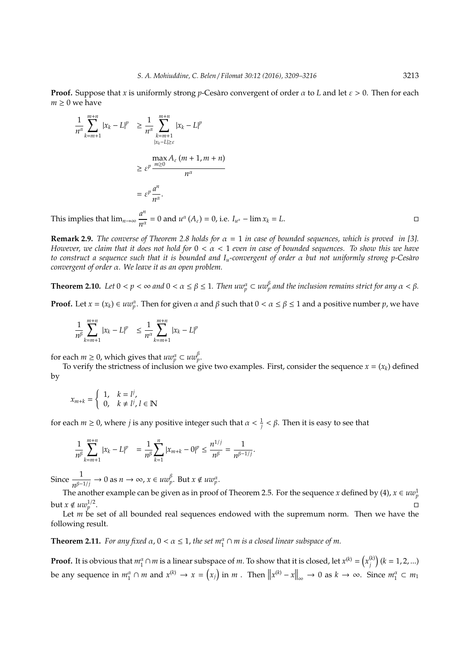**Proof.** Suppose that *x* is uniformly strong *p*-Cesaro convergent of order  $\alpha$  to *L* and let  $\varepsilon > 0$ . Then for each  $m > 0$  we have

$$
\frac{1}{n^{\alpha}} \sum_{k=m+1}^{m+n} |x_k - L|^p \ge \frac{1}{n^{\alpha}} \sum_{\substack{k=m+1 \ |x_k - L| \ge \varepsilon}}^{m+n} |x_k - L|^p
$$

$$
\ge \varepsilon^p \frac{\max A_{\varepsilon} (m+1, m+n)}{n^{\alpha}}
$$

$$
= \varepsilon^p \frac{a^n}{n^{\alpha}}.
$$

This implies that  $\lim_{n\to\infty} \frac{a^n}{a^n}$  $\frac{u}{n^{\alpha}} = 0$  and  $u^{\alpha}(A_{\varepsilon}) = 0$ , i.e.  $I_{u^{\alpha}} - \lim x_k = L$ .

**Remark 2.9.** *The converse of Theorem 2.8 holds for*  $\alpha = 1$  *in case of bounded sequences, which is proved in* [3]. *However, we claim that it does not hold for* 0 < α < 1 *even in case of bounded sequences. To show this we have to construct a sequence such that it is bounded and Iu-convergent of order* α *but not uniformly strong p-Ces`aro convergent of order* α*. We leave it as an open problem.*

**Theorem 2.10.** Let  $0 < p < \infty$  and  $0 < \alpha \leq \beta \leq 1$ . Then  $uw_p^{\alpha} \subset uw_p^{\beta}$  and the inclusion remains strict for any  $\alpha < \beta$ .

**Proof.** Let  $x = (x_k) \in uw_p^{\alpha}$ . Then for given  $\alpha$  and  $\beta$  such that  $0 < \alpha \le \beta \le 1$  and a positive number  $p$ , we have

$$
\frac{1}{n^{\beta}} \sum_{k=m+1}^{m+n} |x_k - L|^p \le \frac{1}{n^{\alpha}} \sum_{k=m+1}^{m+n} |x_k - L|^p
$$

for each  $m \geq 0$ , which gives that  $uw_p^{\alpha} \subset uw_p^{\beta}$ .

To verify the strictness of inclusion we give two examples. First, consider the sequence  $x = (x_k)$  defined by

$$
x_{m+k} = \begin{cases} 1, & k = l^j, \\ 0, & k \neq l^j, l \in \mathbb{N} \end{cases}
$$

for each *m* ≥ 0, where *j* is any positive integer such that *α* <  $\frac{1}{j}$  < *β*. Then it is easy to see that

$$
\frac{1}{n^{\beta}}\sum_{k=m+1}^{m+n}|x_k - L|^p = \frac{1}{n^{\beta}}\sum_{k=1}^n|x_{m+k} - 0|^p \le \frac{n^{1/j}}{n^{\beta}} = \frac{1}{n^{\beta-1/j}}.
$$

Since  $\frac{1}{n^{\beta-1/j}} \to 0$  as  $n \to \infty$ ,  $x \in uw_p^{\beta}$ . But  $x \notin uw_p^{\alpha}$ .

The another example can be given as in proof of Theorem 2.5. For the sequence *x* defined by (4),  $x \in uw_p^1$ but  $x \notin uw_p^{1/2}$ .<br>1980 - Paul Barbara, politikar estadounidense en la provincia de la provincia de la provincia de la provincia<br>1980 - Paul Barbara, politikar estadounidense en la provincia de la provincia de la provincia de la provincia

Let  $m$  be set of all bounded real sequences endowed with the supremum norm. Then we have the following result.

**Theorem 2.11.** *For any fixed*  $\alpha$ ,  $0 < \alpha \leq 1$ , *the set*  $m_1^{\alpha} \cap m$  *is a closed linear subspace of m*.

**Proof.** It is obvious that  $m_1^{\alpha} \cap m$  is a linear subspace of *m*. To show that it is closed, let  $x^{(k)} = (x_j^{(k)})$  $\binom{k}{j}$  (k = 1, 2, ...) be any sequence in  $m_1^{\alpha} \cap m$  and  $x^{(k)} \to x = (x_j)$  in  $m$ . Then  $||x^{(k)} - x||_{\infty} \to 0$  as  $k \to \infty$ . Since  $m_1^{\alpha} \subset m_1$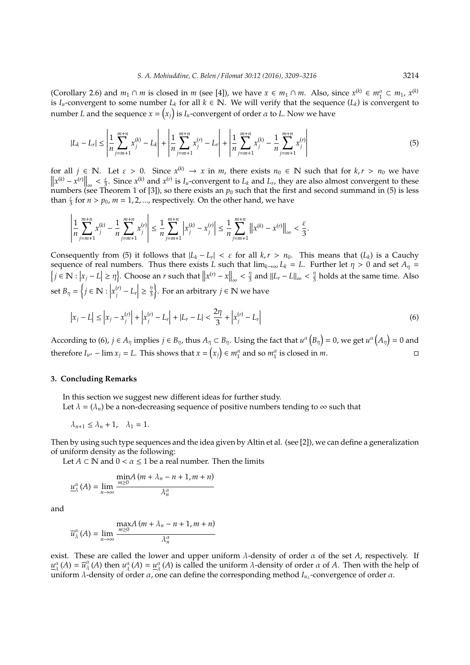(Corollary 2.6) and  $m_1 \cap m$  is closed in  $m$  (see [4]), we have  $x \in m_1 \cap m$ . Also, since  $x^{(k)} \in m_1^{\alpha} \subset m_1$ ,  $x^{(k)}$ is  $I_u$ -convergent to some number  $L_k$  for all  $k \in \mathbb{N}$ . We will verify that the sequence  $(L_k)$  is convergent to number *L* and the sequence  $x = (x_j)$  is  $I_u$ -convergent of order  $\alpha$  to *L*. Now we have

$$
|L_k - L_r| \le \left| \frac{1}{n} \sum_{j=m+1}^{m+n} x_j^{(k)} - L_k \right| + \left| \frac{1}{n} \sum_{j=m+1}^{m+n} x_j^{(r)} - L_r \right| + \left| \frac{1}{n} \sum_{j=m+1}^{m+n} x_j^{(k)} - \frac{1}{n} \sum_{j=m+1}^{m+n} x_j^{(r)} \right| \tag{5}
$$

for all  $j \in \mathbb{N}$ . Let  $\varepsilon > 0$ . Since  $x^{(k)} \to x$  in *m*, there exists  $n_0 \in \mathbb{N}$  such that for  $k, r > n_0$  we have  $||x^{(k)} - x^{(r)}||_{\infty} < \frac{\epsilon}{3}$ . Since  $x^{(k)}$  and  $x^{(r)}$  is *I<sub>u</sub>*-convergent to *L<sub>k</sub>* and *L<sub>r</sub>*, they are also almost convergent to these numbers (see Theorem 1 of [3]), so there exists an  $p_0$  such that the first and second summand in (5) is less than  $\frac{\varepsilon}{3}$  for  $n > p_0$ ,  $m = 1, 2, ...$ , respectively. On the other hand, we have

$$
\left|\frac{1}{n}\sum_{j=m+1}^{m+n}x_j^{(k)} - \frac{1}{n}\sum_{j=m+1}^{m+n}x_j^{(r)}\right| \leq \frac{1}{n}\sum_{j=m+1}^{m+n} \left|x_j^{(k)} - x_j^{(r)}\right| \leq \frac{1}{n}\sum_{j=m+1}^{m+n} \left|\left|x_j^{(k)} - x_j^{(r)}\right|\right|_{\infty} < \frac{\varepsilon}{3}.
$$

Consequently from (5) it follows that  $|L_k - L_r| < \varepsilon$  for all  $k, r > n_0$ . This means that  $(L_k)$  is a Cauchy sequence of real numbers. Thus there exists *L* such that  $\lim_{k\to\infty} L_k = L$ . Further let  $\eta > 0$  and set  $A_n =$  $\left\{ j \in \mathbb{N} : \left| x_j - L \right| \geq \eta \right\}$ . Choose an *r* such that  $\left\| x^{(r)} - x \right\|_{\infty} < \frac{\eta}{3}$  $\frac{\eta}{3}$  and  $\|L_r - L\|_{\infty} < \frac{\eta}{3}$  $\frac{\pi}{3}$  holds at the same time. Also set  $B_{\eta} = \left\{ j \in \mathbb{N} : \left| x_j^{(r)} \right| \right\}$  $\binom{r}{j}$  –  $L_r$  $\frac{\eta}{2}$ 3  $\}$ . For an arbitrary *j*  $\in$  N we have

$$
\left| x_j - L \right| \le \left| x_j - x_j^{(r)} \right| + \left| x_j^{(r)} - L_r \right| + \left| L_r - L \right| < \frac{2\eta}{3} + \left| x_j^{(r)} - L_r \right| \tag{6}
$$

According to (6),  $j \in A_\eta$  implies  $j \in B_\eta$ , thus  $A_\eta \subset B_\eta$ . Using the fact that  $u^\alpha(B_\eta) = 0$ , we get  $u^\alpha(A_\eta) = 0$  and therefore  $I_{u^{\alpha}} - \lim x_j = L$ . This shows that  $x = (x_j) \in m_1^{\alpha}$  and so  $m_1^{\alpha}$  is closed in *m*.

### **3. Concluding Remarks**

In this section we suggest new different ideas for further study. Let  $\lambda = (\lambda_n)$  be a non-decreasing sequence of positive numbers tending to  $\infty$  such that

$$
\lambda_{n+1} \leq \lambda_n + 1, \quad \lambda_1 = 1.
$$

Then by using such type sequences and the idea given by Altin et al. (see [2]), we can define a generalization of uniform density as the following:

Let  $A \subset \mathbb{N}$  and  $0 < \alpha \leq 1$  be a real number. Then the limits

$$
\underline{u}_{\lambda}^{\alpha}(A) = \lim_{n \to \infty} \frac{\min A (m + \lambda_n - n + 1, m + n)}{\lambda_n^{\alpha}}
$$

and

$$
\overline{u}_{\lambda}^{\alpha}(A) = \lim_{n \to \infty} \frac{\max A(m + \lambda_n - n + 1, m + n)}{\lambda_n^{\alpha}}
$$

exist. These are called the lower and upper uniform  $\lambda$ -density of order  $\alpha$  of the set  $A$ , respectively. If  $u^{\alpha}_{\lambda}(A) = \overline{u}^{\alpha}_{\lambda}(A)$  then  $u^{\alpha}_{\lambda}(A) = \underline{u}^{\alpha}_{\lambda}(A)$  is called the uniform  $\lambda$ -density of order  $\alpha$  of  $A$ . Then with the help of uniform  $λ$ -density of order  $α$ , one can define the corresponding method  $I_{u<sub>λ</sub>}$ -convergence of order  $α$ .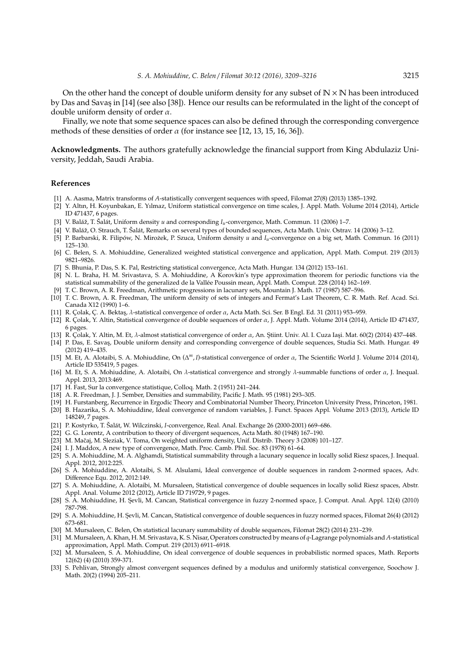On the other hand the concept of double uniform density for any subset of  $\mathbb{N} \times \mathbb{N}$  has been introduced by Das and Savas in [14] (see also [38]). Hence our results can be reformulated in the light of the concept of double uniform density of order  $\alpha$ .

Finally, we note that some sequence spaces can also be defined through the corresponding convergence methods of these densities of order  $\alpha$  (for instance see [12, 13, 15, 16, 36]).

**Acknowledgments.** The authors gratefully acknowledge the financial support from King Abdulaziz University, Jeddah, Saudi Arabia.

#### **References**

- [1] A. Aasma, Matrix transforms of *A*-statistically convergent sequences with speed, Filomat 27(8) (2013) 1385–1392.
- [2] Y. Altın, H. Koyunbakan, E. Yılmaz, Uniform statistical convergence on time scales, J. Appl. Math. Volume 2014 (2014), Article ID 471437, 6 pages.
- [3] V. Baláž, T. Šalát, Uniform density u and corresponding *I<sub>u</sub>*-convergence, Math. Commun. 11 (2006) 1–7.
- [4] V. Baláž, O. Strauch, T. Šalát, Remarks on several types of bounded sequences, Acta Math. Univ. Ostrav. 14 (2006) 3–12.
- [5] P. Barbarski, R. Filipów, N. Mirożek, P. Szuca, Uniform density *u* and *I<sub>u</sub>*-convergence on a big set, Math. Commun. 16 (2011) 125–130.
- [6] C. Belen, S. A. Mohiuddine, Generalized weighted statistical convergence and application, Appl. Math. Comput. 219 (2013) 9821–9826.
- [7] S. Bhunia, P. Das, S. K. Pal, Restricting statistical convergence, Acta Math. Hungar. 134 (2012) 153–161.
- [8] N. L. Braha, H. M. Srivastava, S. A. Mohiuddine, A Korovkin's type approximation theorem for periodic functions via the statistical summability of the generalized de la Vallée Poussin mean, Appl. Math. Comput. 228 (2014) 162-169.
- [9] T. C. Brown, A. R. Freedman, Arithmetic progressions in lacunary sets, Mountain J. Math. 17 (1987) 587–596.
- [10] T. C. Brown, A. R. Freedman, The uniform density of sets of integers and Fermat's Last Theorem, C. R. Math. Ref. Acad. Sci. Canada X12 (1990) 1–6.
- [11] R. Colak, C. A. Bektas,  $\lambda$ -statistical convergence of order  $\alpha$ , Acta Math. Sci. Ser. B Engl. Ed. 31 (2011) 953–959.
- [12] R. Çolak, Y. Altin, Statistical convergence of double sequences of order α, J. Appl. Math. Volume 2014 (2014), Article ID 471437, 6 pages.
- [13] R. Colak, Y. Altin, M. Et,  $\lambda$ -almost statistical convergence of order  $\alpha$ , An. Stiint. Univ. Al. I. Cuza Iasi. Mat. 60(2) (2014) 437–448.
- [14] P. Das, E. Savas, Double uniform density and corresponding convergence of double sequences, Studia Sci. Math. Hungar. 49 (2012) 419–435.
- [15] M. Et, A. Alotaibi, S. A. Mohiuddine, On (∆ *<sup>m</sup>*, *I*)-statistical convergence of order α, The Scientific World J. Volume 2014 (2014), Article ID 535419, 5 pages.
- [16] M. Et, S. A. Mohiuddine, A. Alotaibi, On λ-statistical convergence and strongly λ-summable functions of order α, J. Inequal. Appl. 2013, 2013:469.
- [17] H. Fast, Sur la convergence statistique, Colloq. Math. 2 (1951) 241–244.
- [18] A. R. Freedman, J. J. Sember, Densities and summability, Pacific J. Math. 95 (1981) 293–305.
- [19] H. Furstanberg, Recurrence in Ergodic Theory and Combinatorial Number Theory, Princeton University Press, Princeton, 1981.
- [20] B. Hazarika, S. A. Mohiuddine, Ideal convergence of random variables, J. Funct. Spaces Appl. Volume 2013 (2013), Article ID 148249, 7 pages.
- [21] P. Kostyrko, T. Šalát, W. Wilczinski, *I*-convergence, Real. Anal. Exchange 26 (2000-2001) 669–686.
- [22] G. G. Lorentz, A contribution to theory of divergent sequences, Acta Math. 80 (1948) 167–190.
- [23] M. Mačaj, M. Sleziak, V. Toma, On weighted uniform density, Unif. Distrib. Theory 3 (2008) 101-127.
- [24] I. J. Maddox, A new type of convergence, Math. Proc. Camb. Phil. Soc. 83 (1978) 61–64.
- [25] S. A. Mohiuddine, M. A. Alghamdi, Statistical summability through a lacunary sequence in locally solid Riesz spaces, J. Inequal. Appl. 2012, 2012:225.
- [26] S. A. Mohiuddine, A. Alotaibi, S. M. Alsulami, Ideal convergence of double sequences in random 2-normed spaces, Adv. Difference Equ. 2012, 2012:149.
- [27] S. A. Mohiuddine, A. Alotaibi, M. Mursaleen, Statistical convergence of double sequences in locally solid Riesz spaces, Abstr. Appl. Anal. Volume 2012 (2012), Article ID 719729, 9 pages.
- [28] S. A. Mohiuddine, H. S¸evli, M. Cancan, Statistical convergence in fuzzy 2-normed space, J. Comput. Anal. Appl. 12(4) (2010) 787-798.
- [29] S. A. Mohiuddine, H. Sevli, M. Cancan, Statistical convergence of double sequences in fuzzy normed spaces, Filomat 26(4) (2012) 673-681.
- [30] M. Mursaleen, C. Belen, On statistical lacunary summability of double sequences, Filomat 28(2) (2014) 231–239.
- [31] M. Mursaleen, A. Khan, H. M. Srivastava, K. S. Nisar, Operators constructed by means of *q*-Lagrange polynomials and *A*-statistical approximation, Appl. Math. Comput. 219 (2013) 6911–6918.
- [32] M. Mursaleen, S. A. Mohiuddine, On ideal convergence of double sequences in probabilistic normed spaces, Math. Reports 12(62) (4) (2010) 359-371.
- [33] S. Pehlivan, Strongly almost convergent sequences defined by a modulus and uniformly statistical convergence, Soochow J. Math. 20(2) (1994) 205–211.